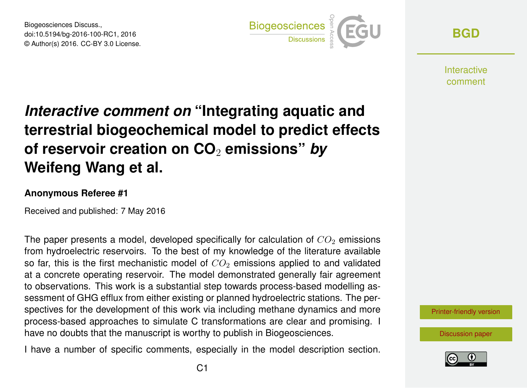Biogeosciences Discuss., doi:10.5194/bg-2016-100-RC1, 2016 © Author(s) 2016. CC-BY 3.0 License.



**[BGD](http://www.biogeosciences-discuss.net/)**

**Interactive** comment

## *Interactive comment on* **"Integrating aquatic and terrestrial biogeochemical model to predict effects of reservoir creation on CO**<sup>2</sup> **emissions"** *by* **Weifeng Wang et al.**

## **Anonymous Referee #1**

Received and published: 7 May 2016

The paper presents a model, developed specifically for calculation of  $CO<sub>2</sub>$  emissions from hydroelectric reservoirs. To the best of my knowledge of the literature available so far, this is the first mechanistic model of  $CO<sub>2</sub>$  emissions applied to and validated at a concrete operating reservoir. The model demonstrated generally fair agreement to observations. This work is a substantial step towards process-based modelling assessment of GHG efflux from either existing or planned hydroelectric stations. The perspectives for the development of this work via including methane dynamics and more process-based approaches to simulate C transformations are clear and promising. I have no doubts that the manuscript is worthy to publish in Biogeosciences.

I have a number of specific comments, especially in the model description section.



[Discussion paper](http://www.biogeosciences-discuss.net/bg-2016-100)